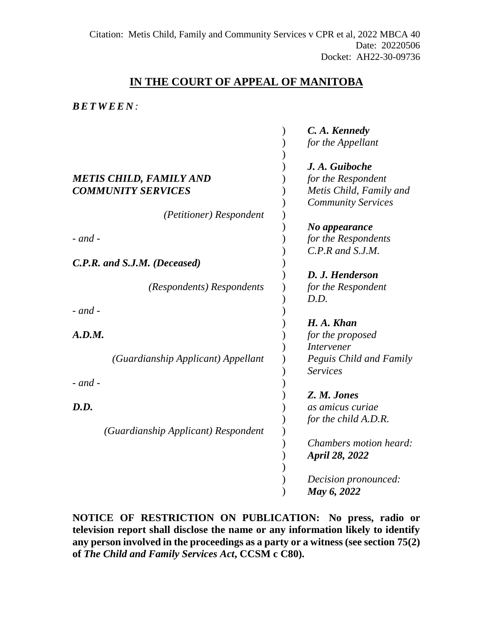# **IN THE COURT OF APPEAL OF MANITOBA**

### *BETWEE N :*

|                                     | C. A. Kennedy             |
|-------------------------------------|---------------------------|
|                                     | for the Appellant         |
|                                     | J. A. Guiboche            |
| <b>METIS CHILD, FAMILY AND</b>      | for the Respondent        |
| <b>COMMUNITY SERVICES</b>           | Metis Child, Family and   |
|                                     | <b>Community Services</b> |
| (Petitioner) Respondent             |                           |
|                                     | No appearance             |
| $-$ and $-$                         | for the Respondents       |
|                                     | $C.P.R$ and $S.J.M.$      |
| C.P.R. and S.J.M. (Deceased)        |                           |
|                                     | D. J. Henderson           |
| (Respondents) Respondents           | for the Respondent        |
|                                     | D.D.                      |
| $-$ and $-$                         |                           |
|                                     | H. A. Khan                |
| A.D.M.                              | for the proposed          |
|                                     | Intervener                |
| (Guardianship Applicant) Appellant  | Peguis Child and Family   |
|                                     | <b>Services</b>           |
| $-$ and $-$                         |                           |
|                                     | Z. M. Jones               |
| D.D.                                | as amicus curiae          |
|                                     | for the child A.D.R.      |
|                                     |                           |
| (Guardianship Applicant) Respondent | Chambers motion heard:    |
|                                     |                           |
|                                     | <b>April 28, 2022</b>     |
|                                     |                           |
|                                     | Decision pronounced:      |
|                                     | May 6, 2022               |

**NOTICE OF RESTRICTION ON PUBLICATION: No press, radio or television report shall disclose the name or any information likely to identify any person involved in the proceedings as a party or a witness (see section 75(2) of** *The Child and Family Services Act***, CCSM c C80).**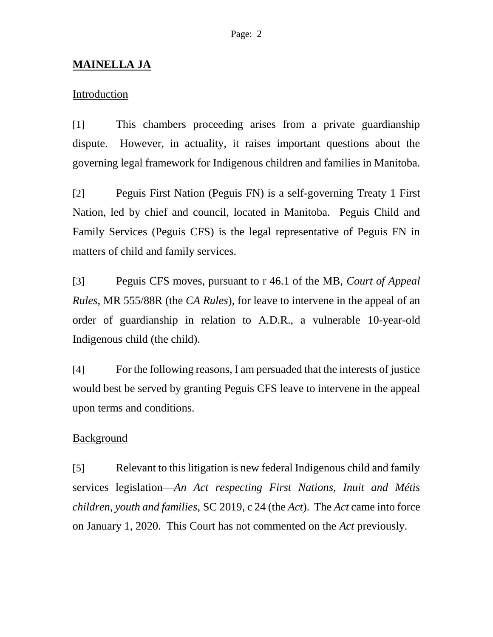## **MAINELLA JA**

## **Introduction**

[1] This chambers proceeding arises from a private guardianship dispute. However, in actuality, it raises important questions about the governing legal framework for Indigenous children and families in Manitoba.

[2] Peguis First Nation (Peguis FN) is a self-governing Treaty 1 First Nation, led by chief and council, located in Manitoba. Peguis Child and Family Services (Peguis CFS) is the legal representative of Peguis FN in matters of child and family services.

[3] Peguis CFS moves, pursuant to r 46.1 of the MB, *Court of Appeal Rules*, MR 555/88R (the *CA Rules*), for leave to intervene in the appeal of an order of guardianship in relation to A.D.R., a vulnerable 10-year-old Indigenous child (the child).

[4] For the following reasons, I am persuaded that the interests of justice would best be served by granting Peguis CFS leave to intervene in the appeal upon terms and conditions.

#### **Background**

[5] Relevant to this litigation is new federal Indigenous child and family services legislation—*An Act respecting First Nations, Inuit and Métis children, youth and families*, SC 2019, c 24 (the *Act*). The *Act* came into force on January 1, 2020. This Court has not commented on the *Act* previously.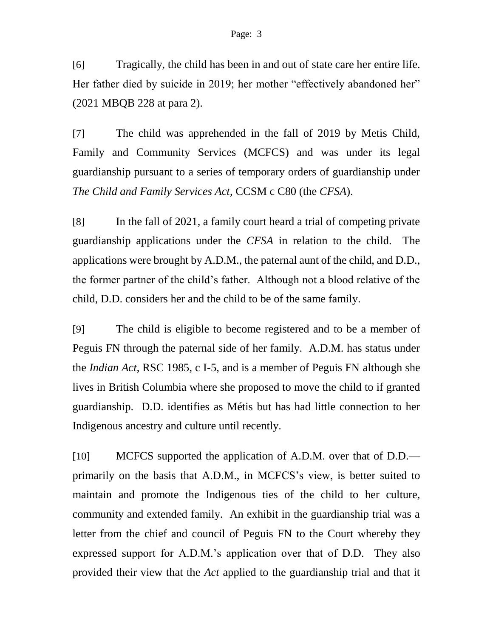[6] Tragically, the child has been in and out of state care her entire life. Her father died by suicide in 2019; her mother "effectively abandoned her" (2021 MBQB 228 at para 2).

[7] The child was apprehended in the fall of 2019 by Metis Child, Family and Community Services (MCFCS) and was under its legal guardianship pursuant to a series of temporary orders of guardianship under *The Child and Family Services Act*, CCSM c C80 (the *CFSA*).

[8] In the fall of 2021, a family court heard a trial of competing private guardianship applications under the *CFSA* in relation to the child. The applications were brought by A.D.M., the paternal aunt of the child, and D.D., the former partner of the child's father. Although not a blood relative of the child, D.D. considers her and the child to be of the same family.

[9] The child is eligible to become registered and to be a member of Peguis FN through the paternal side of her family. A.D.M. has status under the *Indian Act*, RSC 1985, c I-5, and is a member of Peguis FN although she lives in British Columbia where she proposed to move the child to if granted guardianship. D.D. identifies as Métis but has had little connection to her Indigenous ancestry and culture until recently.

[10] MCFCS supported the application of A.D.M. over that of D.D. primarily on the basis that A.D.M., in MCFCS's view, is better suited to maintain and promote the Indigenous ties of the child to her culture, community and extended family. An exhibit in the guardianship trial was a letter from the chief and council of Peguis FN to the Court whereby they expressed support for A.D.M.'s application over that of D.D. They also provided their view that the *Act* applied to the guardianship trial and that it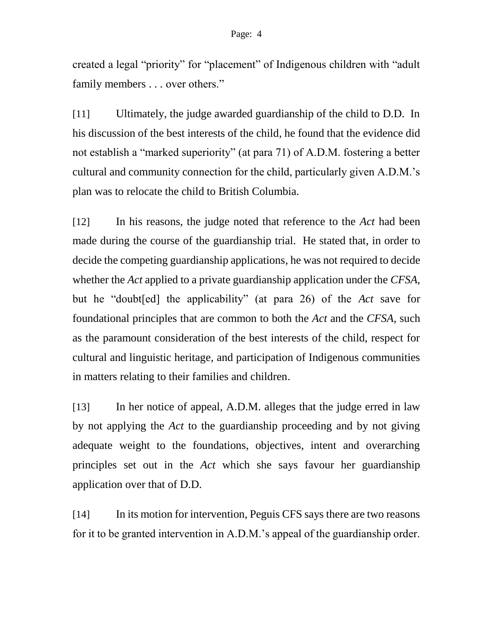created a legal "priority" for "placement" of Indigenous children with "adult family members . . . over others."

[11] Ultimately, the judge awarded guardianship of the child to D.D. In his discussion of the best interests of the child, he found that the evidence did not establish a "marked superiority" (at para 71) of A.D.M. fostering a better cultural and community connection for the child, particularly given A.D.M.'s plan was to relocate the child to British Columbia.

[12] In his reasons, the judge noted that reference to the *Act* had been made during the course of the guardianship trial. He stated that, in order to decide the competing guardianship applications, he was not required to decide whether the *Act* applied to a private guardianship application under the *CFSA*, but he "doubt[ed] the applicability" (at para 26) of the *Act* save for foundational principles that are common to both the *Act* and the *CFSA*, such as the paramount consideration of the best interests of the child, respect for cultural and linguistic heritage, and participation of Indigenous communities in matters relating to their families and children.

[13] In her notice of appeal, A.D.M. alleges that the judge erred in law by not applying the *Act* to the guardianship proceeding and by not giving adequate weight to the foundations, objectives, intent and overarching principles set out in the *Act* which she says favour her guardianship application over that of D.D.

[14] In its motion for intervention, Peguis CFS says there are two reasons for it to be granted intervention in A.D.M.'s appeal of the guardianship order.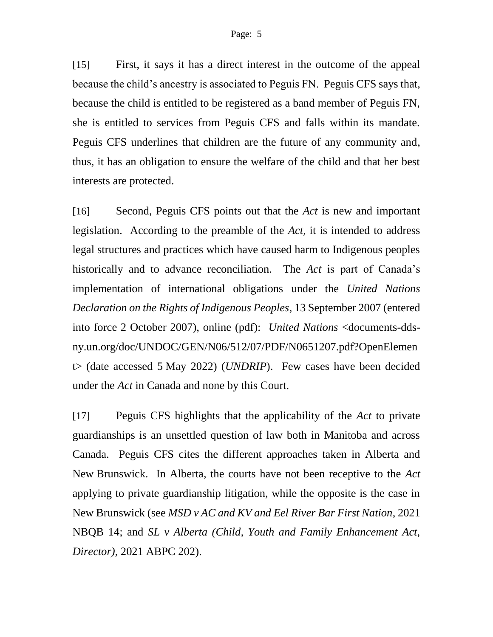[15] First, it says it has a direct interest in the outcome of the appeal because the child's ancestry is associated to Peguis FN. Peguis CFS says that, because the child is entitled to be registered as a band member of Peguis FN, she is entitled to services from Peguis CFS and falls within its mandate. Peguis CFS underlines that children are the future of any community and, thus, it has an obligation to ensure the welfare of the child and that her best interests are protected.

[16] Second, Peguis CFS points out that the *Act* is new and important legislation. According to the preamble of the *Act*, it is intended to address legal structures and practices which have caused harm to Indigenous peoples historically and to advance reconciliation. The *Act* is part of Canada's implementation of international obligations under the *United Nations Declaration on the Rights of Indigenous Peoples*, 13 September 2007 (entered into force 2 October 2007), online (pdf): *United Nations* <documents-ddsny.un.org/doc/UNDOC/GEN/N06/512/07/PDF/N0651207.pdf?OpenElemen t> (date accessed 5 May 2022) (*UNDRIP*). Few cases have been decided under the *Act* in Canada and none by this Court.

[17] Peguis CFS highlights that the applicability of the *Act* to private guardianships is an unsettled question of law both in Manitoba and across Canada. Peguis CFS cites the different approaches taken in Alberta and New Brunswick. In Alberta, the courts have not been receptive to the *Act* applying to private guardianship litigation, while the opposite is the case in New Brunswick (see *MSD v AC and KV and Eel River Bar First Nation*, 2021 NBQB 14; and *SL v Alberta (Child, Youth and Family Enhancement Act, Director)*, 2021 ABPC 202).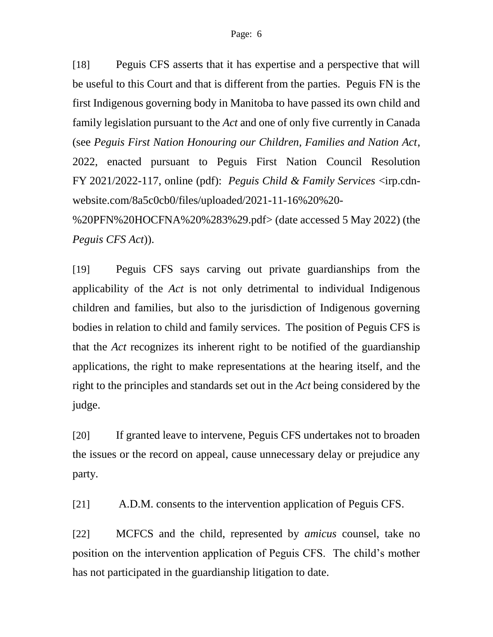[18] Peguis CFS asserts that it has expertise and a perspective that will be useful to this Court and that is different from the parties. Peguis FN is the first Indigenous governing body in Manitoba to have passed its own child and family legislation pursuant to the *Act* and one of only five currently in Canada (see *Peguis First Nation Honouring our Children, Families and Nation Act*, 2022, enacted pursuant to Peguis First Nation Council Resolution FY 2021/2022-117, online (pdf): *Peguis Child & Family Services* <irp.cdnwebsite.com/8a5c0cb0/files/uploaded/2021-11-16%20%20-

%20PFN%20HOCFNA%20%283%29.pdf> (date accessed 5 May 2022) (the *Peguis CFS Act*)).

[19] Peguis CFS says carving out private guardianships from the applicability of the *Act* is not only detrimental to individual Indigenous children and families, but also to the jurisdiction of Indigenous governing bodies in relation to child and family services. The position of Peguis CFS is that the *Act* recognizes its inherent right to be notified of the guardianship applications, the right to make representations at the hearing itself, and the right to the principles and standards set out in the *Act* being considered by the judge.

[20] If granted leave to intervene, Peguis CFS undertakes not to broaden the issues or the record on appeal, cause unnecessary delay or prejudice any party.

[21] A.D.M. consents to the intervention application of Peguis CFS.

[22] MCFCS and the child, represented by *amicus* counsel, take no position on the intervention application of Peguis CFS. The child's mother has not participated in the guardianship litigation to date.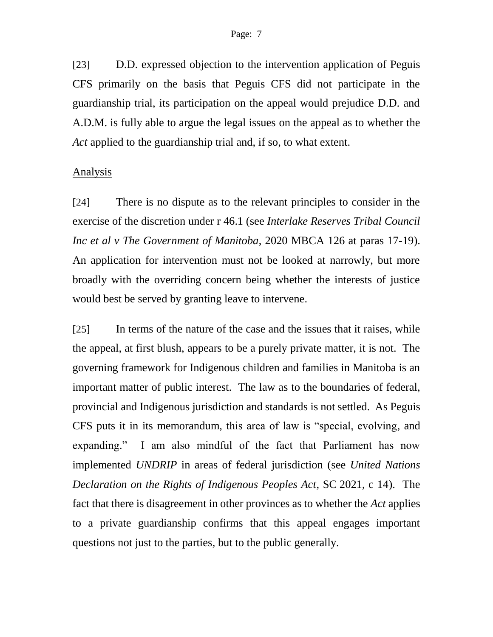#### Page: 7

[23] D.D. expressed objection to the intervention application of Peguis CFS primarily on the basis that Peguis CFS did not participate in the guardianship trial, its participation on the appeal would prejudice D.D. and A.D.M. is fully able to argue the legal issues on the appeal as to whether the *Act* applied to the guardianship trial and, if so, to what extent.

#### Analysis

[24] There is no dispute as to the relevant principles to consider in the exercise of the discretion under r 46.1 (see *Interlake Reserves Tribal Council Inc et al v The Government of Manitoba*, 2020 MBCA 126 at paras 17-19). An application for intervention must not be looked at narrowly, but more broadly with the overriding concern being whether the interests of justice would best be served by granting leave to intervene.

[25] In terms of the nature of the case and the issues that it raises, while the appeal, at first blush, appears to be a purely private matter, it is not. The governing framework for Indigenous children and families in Manitoba is an important matter of public interest. The law as to the boundaries of federal, provincial and Indigenous jurisdiction and standards is not settled. As Peguis CFS puts it in its memorandum, this area of law is "special, evolving, and expanding." I am also mindful of the fact that Parliament has now implemented *UNDRIP* in areas of federal jurisdiction (see *United Nations Declaration on the Rights of Indigenous Peoples Act*, SC 2021, c 14). The fact that there is disagreement in other provinces as to whether the *Act* applies to a private guardianship confirms that this appeal engages important questions not just to the parties, but to the public generally.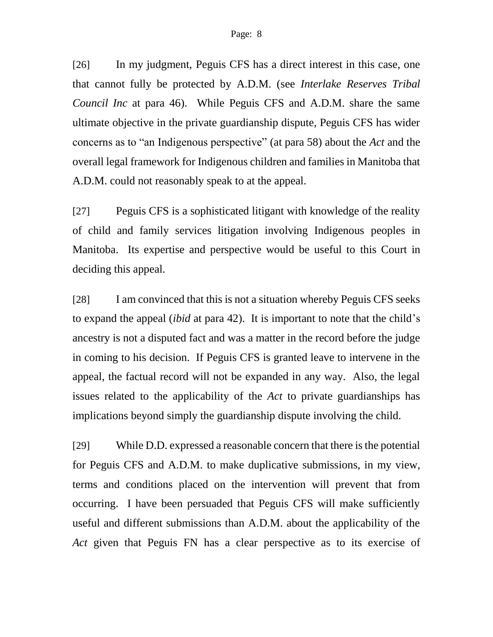[26] In my judgment, Peguis CFS has a direct interest in this case, one that cannot fully be protected by A.D.M. (see *Interlake Reserves Tribal Council Inc* at para 46). While Peguis CFS and A.D.M. share the same ultimate objective in the private guardianship dispute, Peguis CFS has wider concerns as to "an Indigenous perspective" (at para 58) about the *Act* and the overall legal framework for Indigenous children and families in Manitoba that A.D.M. could not reasonably speak to at the appeal.

[27] Peguis CFS is a sophisticated litigant with knowledge of the reality of child and family services litigation involving Indigenous peoples in Manitoba. Its expertise and perspective would be useful to this Court in deciding this appeal.

[28] I am convinced that this is not a situation whereby Peguis CFS seeks to expand the appeal (*ibid* at para 42). It is important to note that the child's ancestry is not a disputed fact and was a matter in the record before the judge in coming to his decision. If Peguis CFS is granted leave to intervene in the appeal, the factual record will not be expanded in any way. Also, the legal issues related to the applicability of the *Act* to private guardianships has implications beyond simply the guardianship dispute involving the child.

[29] While D.D. expressed a reasonable concern that there is the potential for Peguis CFS and A.D.M. to make duplicative submissions, in my view, terms and conditions placed on the intervention will prevent that from occurring. I have been persuaded that Peguis CFS will make sufficiently useful and different submissions than A.D.M. about the applicability of the *Act* given that Peguis FN has a clear perspective as to its exercise of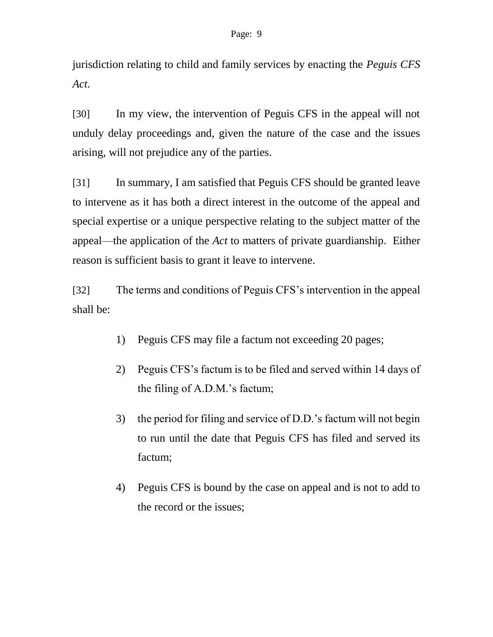jurisdiction relating to child and family services by enacting the *Peguis CFS Act.*

[30] In my view, the intervention of Peguis CFS in the appeal will not unduly delay proceedings and, given the nature of the case and the issues arising, will not prejudice any of the parties.

[31] In summary, I am satisfied that Peguis CFS should be granted leave to intervene as it has both a direct interest in the outcome of the appeal and special expertise or a unique perspective relating to the subject matter of the appeal—the application of the *Act* to matters of private guardianship. Either reason is sufficient basis to grant it leave to intervene.

[32] The terms and conditions of Peguis CFS's intervention in the appeal shall be:

- 1) Peguis CFS may file a factum not exceeding 20 pages;
- 2) Peguis CFS's factum is to be filed and served within 14 days of the filing of A.D.M.'s factum;
- 3) the period for filing and service of D.D.'s factum will not begin to run until the date that Peguis CFS has filed and served its factum;
- 4) Peguis CFS is bound by the case on appeal and is not to add to the record or the issues;